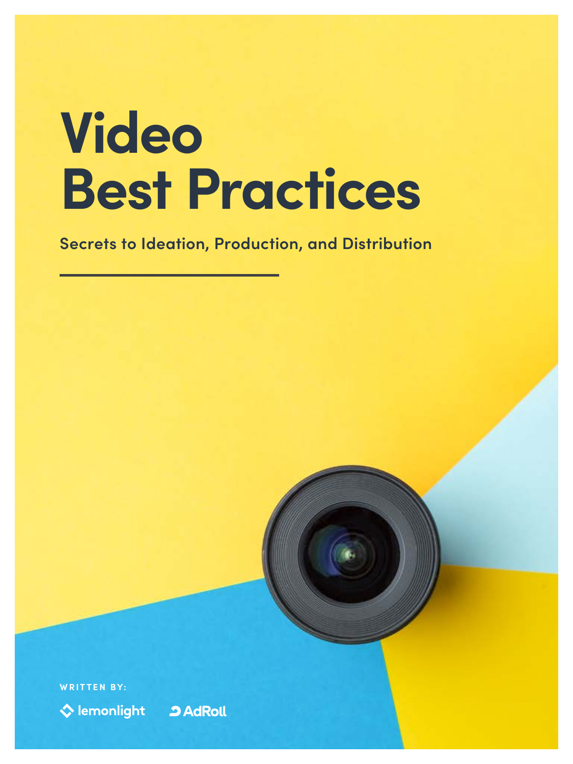# **Video Best Practices**

**Secrets to Ideation, Production, and Distribution**

**WRITTEN BY:**

♦ lemonlight

**2 AdRoll** 

1 Video Best Practices: Secrets to Ideation, Production, and Distribution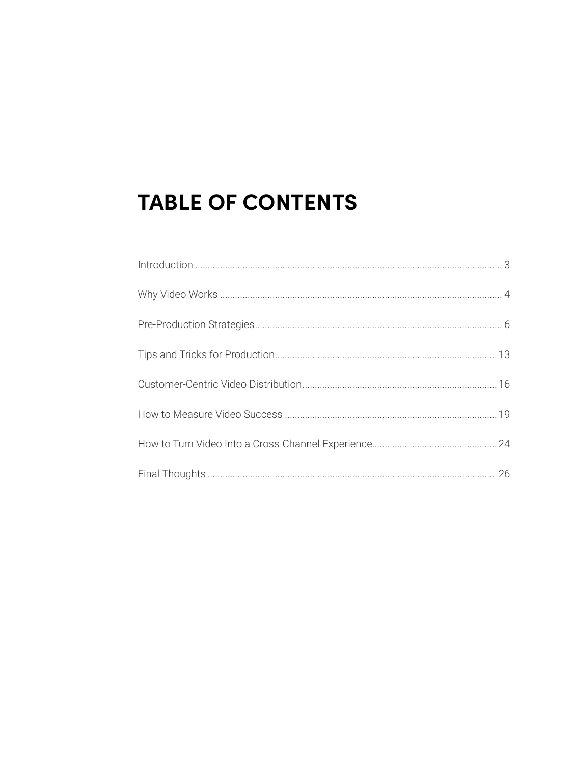# **TABLE OF CONTENTS**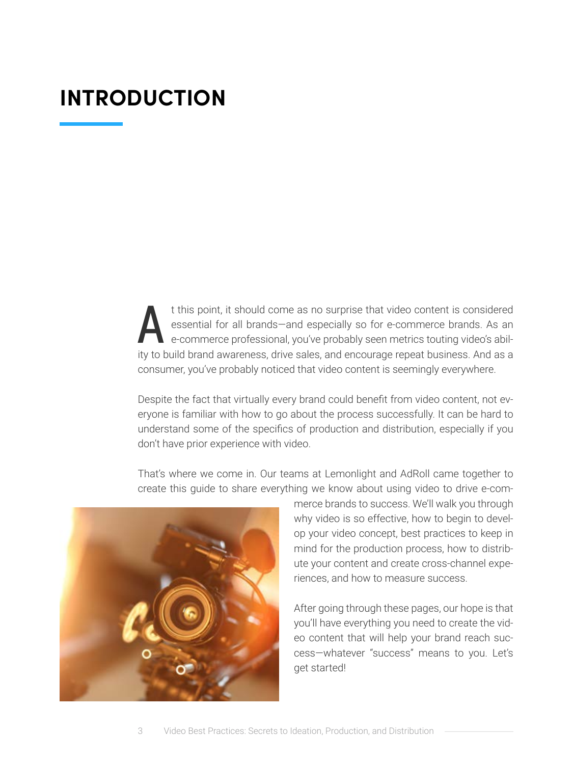# <span id="page-2-0"></span>**INTRODUCTION**

t this point, it should come as no surprise that video content is considered<br>essential for all brands—and especially so for e-commerce brands. As an<br>e-commerce professional, you've probably seen metrics touting video's abi essential for all brands—and especially so for e-commerce brands. As an e-commerce professional, you've probably seen metrics touting video's ability to build brand awareness, drive sales, and encourage repeat business. And as a consumer, you've probably noticed that video content is seemingly everywhere.

Despite the fact that virtually every brand could benefit from video content, not everyone is familiar with how to go about the process successfully. It can be hard to understand some of the specifics of production and distribution, especially if you don't have prior experience with video.



That's where we come in. Our teams at Lemonlight and AdRoll came together to create this guide to share everything we know about using video to drive e-com-

> merce brands to success. We'll walk you through why video is so effective, how to begin to develop your video concept, best practices to keep in mind for the production process, how to distribute your content and create cross-channel experiences, and how to measure success.

> After going through these pages, our hope is that you'll have everything you need to create the video content that will help your brand reach success—whatever "success" means to you. Let's get started!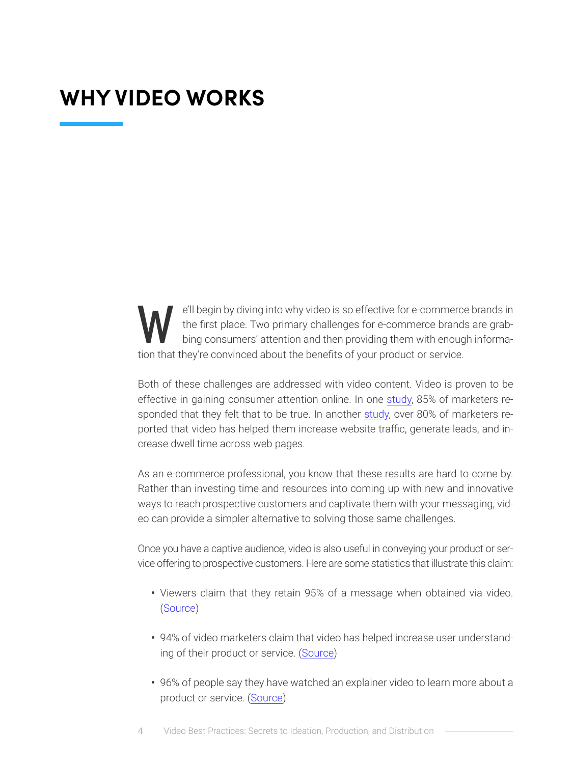# <span id="page-3-0"></span>**WHY VIDEO WORKS**

e'll begin by diving into why video is so effective for e-commerce brands in<br>the first place. Two primary challenges for e-commerce brands are grab-<br>bing consumers' attention and then providing them with enough informa-<br>ti the first place. Two primary challenges for e-commerce brands are grabbing consumers' attention and then providing them with enough information that they're convinced about the benefits of your product or service.

Both of these challenges are addressed with video content. Video is proven to be effective in gaining consumer attention online. In one [study](https://animoto.com/blog/news/social-video-trends-marketers-2020), 85% of marketers responded that they felt that to be true. In another [study](https://www.wyzowl.com/video-marketing-statistics-2019/), over 80% of marketers reported that video has helped them increase website traffic, generate leads, and increase dwell time across web pages.

As an e-commerce professional, you know that these results are hard to come by. Rather than investing time and resources into coming up with new and innovative ways to reach prospective customers and captivate them with your messaging, video can provide a simpler alternative to solving those same challenges.

Once you have a captive audience, video is also useful in conveying your product or service offering to prospective customers. Here are some statistics that illustrate this claim:

- **•** Viewers claim that they retain 95% of a message when obtained via video. [\(Source\)](https://socialmediaweek.org/blog/2019/10/2020-video-marketing-and-statistics-what-brands-need-to-know/)
- **•** 94% of video marketers claim that video has helped increase user understanding of their product or service. ([Source](https://www.wyzowl.com/video-marketing-statistics-2019/))
- **•** 96% of people say they have watched an explainer video to learn more about a product or service. [\(Source\)](https://www.wyzowl.com/video-marketing-statistics-2019/)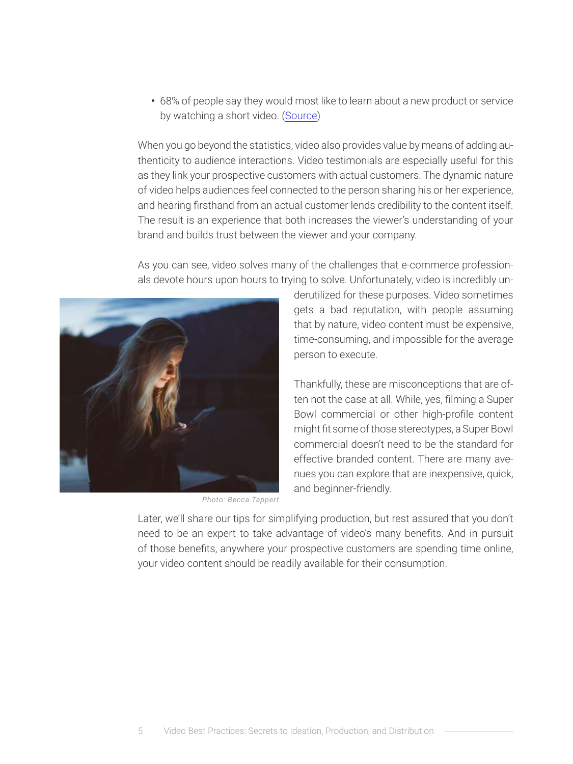**•** 68% of people say they would most like to learn about a new product or service by watching a short video. [\(Source](https://www.wyzowl.com/video-marketing-statistics-2019/))

When you go beyond the statistics, video also provides value by means of adding authenticity to audience interactions. Video testimonials are especially useful for this as they link your prospective customers with actual customers. The dynamic nature of video helps audiences feel connected to the person sharing his or her experience, and hearing firsthand from an actual customer lends credibility to the content itself. The result is an experience that both increases the viewer's understanding of your brand and builds trust between the viewer and your company.

As you can see, video solves many of the challenges that e-commerce professionals devote hours upon hours to trying to solve. Unfortunately, video is incredibly un-



*Photo: Becca Tappert*

derutilized for these purposes. Video sometimes gets a bad reputation, with people assuming that by nature, video content must be expensive, time-consuming, and impossible for the average person to execute.

Thankfully, these are misconceptions that are often not the case at all. While, yes, filming a Super Bowl commercial or other high-profile content might fit some of those stereotypes, a Super Bowl commercial doesn't need to be the standard for effective branded content. There are many avenues you can explore that are inexpensive, quick, and beginner-friendly.

Later, we'll share our tips for simplifying production, but rest assured that you don't need to be an expert to take advantage of video's many benefits. And in pursuit of those benefits, anywhere your prospective customers are spending time online, your video content should be readily available for their consumption.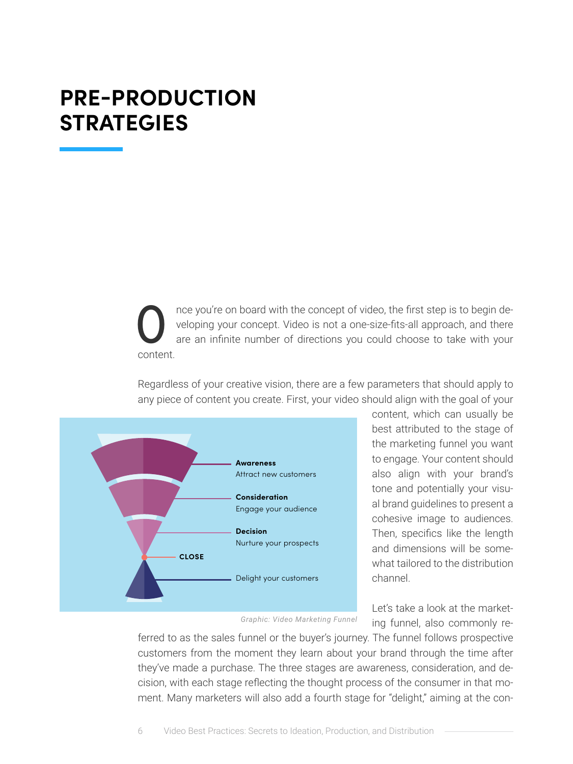# <span id="page-5-0"></span>**PRE-PRODUCTION STRATEGIES**

The veloping your concept. Video is not a one-size-fits-all approach, and there are an infinite number of directions you could choose to take with your content. veloping your concept. Video is not a one-size-fits-all approach, and there are an infinite number of directions you could choose to take with your content.

Regardless of your creative vision, there are a few parameters that should apply to any piece of content you create. First, your video should align with the goal of your



content, which can usually be best attributed to the stage of the marketing funnel you want to engage. Your content should also align with your brand's tone and potentially your visual brand guidelines to present a cohesive image to audiences. Then, specifics like the length and dimensions will be somewhat tailored to the distribution channel.

Let's take a look at the marketing funnel, also commonly re-

*Graphic: Video Marketing Funnel*

ferred to as the sales funnel or the buyer's journey. The funnel follows prospective customers from the moment they learn about your brand through the time after they've made a purchase. The three stages are awareness, consideration, and decision, with each stage reflecting the thought process of the consumer in that moment. Many marketers will also add a fourth stage for "delight," aiming at the con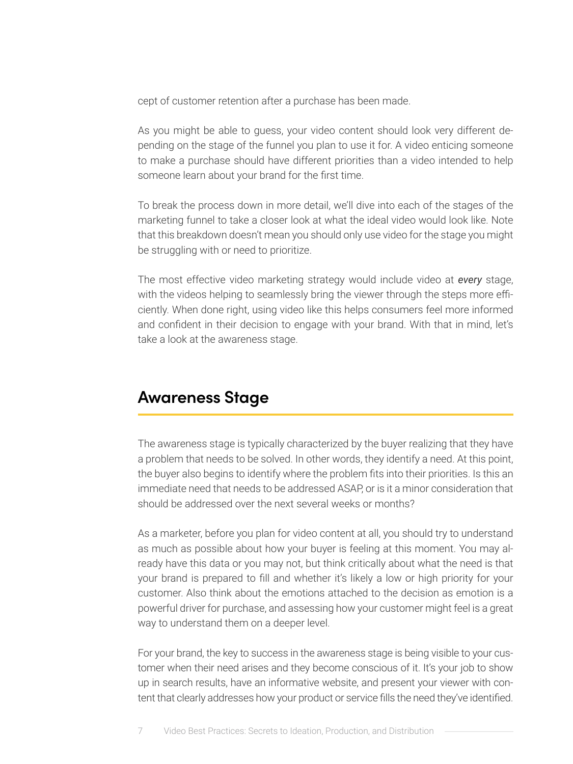cept of customer retention after a purchase has been made.

As you might be able to guess, your video content should look very different depending on the stage of the funnel you plan to use it for. A video enticing someone to make a purchase should have different priorities than a video intended to help someone learn about your brand for the first time.

To break the process down in more detail, we'll dive into each of the stages of the marketing funnel to take a closer look at what the ideal video would look like. Note that this breakdown doesn't mean you should only use video for the stage you might be struggling with or need to prioritize.

The most effective video marketing strategy would include video at *every* stage, with the videos helping to seamlessly bring the viewer through the steps more efficiently. When done right, using video like this helps consumers feel more informed and confident in their decision to engage with your brand. With that in mind, let's take a look at the awareness stage.

### **Awareness Stage**

The awareness stage is typically characterized by the buyer realizing that they have a problem that needs to be solved. In other words, they identify a need. At this point, the buyer also begins to identify where the problem fits into their priorities. Is this an immediate need that needs to be addressed ASAP, or is it a minor consideration that should be addressed over the next several weeks or months?

As a marketer, before you plan for video content at all, you should try to understand as much as possible about how your buyer is feeling at this moment. You may already have this data or you may not, but think critically about what the need is that your brand is prepared to fill and whether it's likely a low or high priority for your customer. Also think about the emotions attached to the decision as emotion is a powerful driver for purchase, and assessing how your customer might feel is a great way to understand them on a deeper level.

For your brand, the key to success in the awareness stage is being visible to your customer when their need arises and they become conscious of it. It's your job to show up in search results, have an informative website, and present your viewer with content that clearly addresses how your product or service fills the need they've identified.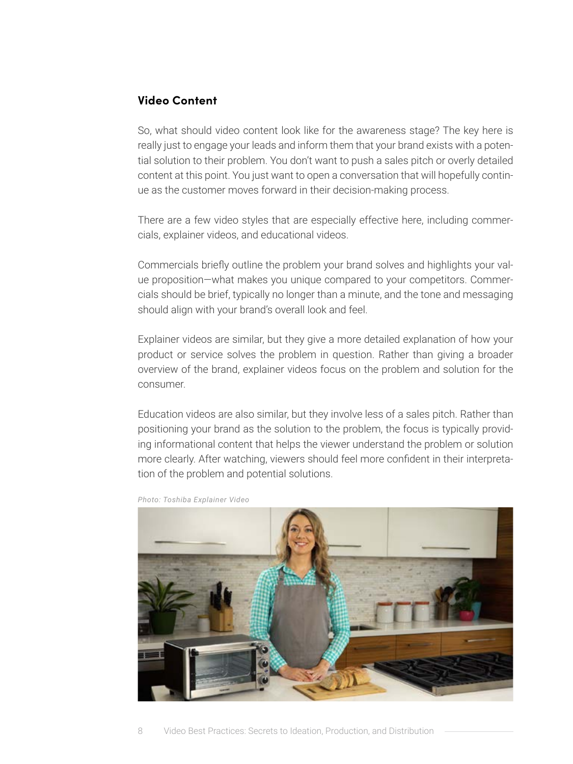#### **Video Content**

So, what should video content look like for the awareness stage? The key here is really just to engage your leads and inform them that your brand exists with a potential solution to their problem. You don't want to push a sales pitch or overly detailed content at this point. You just want to open a conversation that will hopefully continue as the customer moves forward in their decision-making process.

There are a few video styles that are especially effective here, including commercials, explainer videos, and educational videos.

Commercials briefly outline the problem your brand solves and highlights your value proposition—what makes you unique compared to your competitors. Commercials should be brief, typically no longer than a minute, and the tone and messaging should align with your brand's overall look and feel.

Explainer videos are similar, but they give a more detailed explanation of how your product or service solves the problem in question. Rather than giving a broader overview of the brand, explainer videos focus on the problem and solution for the consumer.

Education videos are also similar, but they involve less of a sales pitch. Rather than positioning your brand as the solution to the problem, the focus is typically providing informational content that helps the viewer understand the problem or solution more clearly. After watching, viewers should feel more confident in their interpretation of the problem and potential solutions.



*Photo: Toshiba Explainer Video*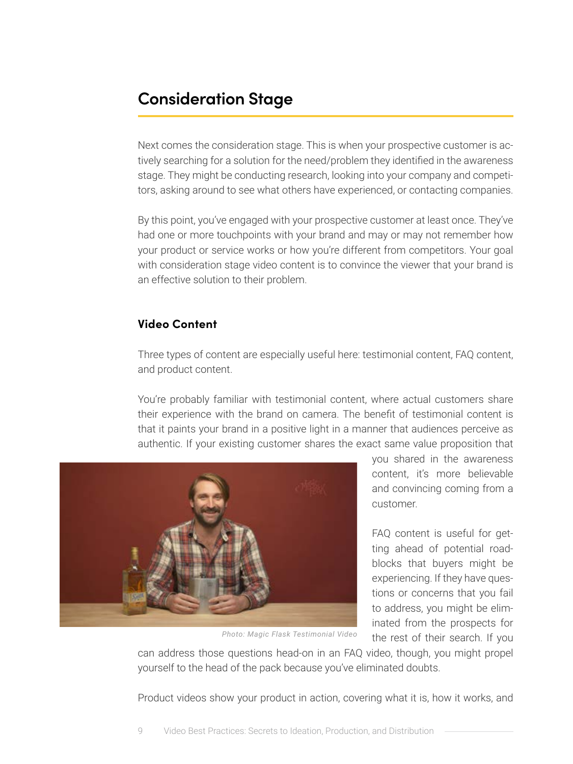### **Consideration Stage**

Next comes the consideration stage. This is when your prospective customer is actively searching for a solution for the need/problem they identified in the awareness stage. They might be conducting research, looking into your company and competitors, asking around to see what others have experienced, or contacting companies.

By this point, you've engaged with your prospective customer at least once. They've had one or more touchpoints with your brand and may or may not remember how your product or service works or how you're different from competitors. Your goal with consideration stage video content is to convince the viewer that your brand is an effective solution to their problem.

#### **Video Content**

Three types of content are especially useful here: testimonial content, FAQ content, and product content.

You're probably familiar with testimonial content, where actual customers share their experience with the brand on camera. The benefit of testimonial content is that it paints your brand in a positive light in a manner that audiences perceive as authentic. If your existing customer shares the exact same value proposition that



*Photo: Magic Flask Testimonial Video*

you shared in the awareness content, it's more believable and convincing coming from a customer.

FAQ content is useful for getting ahead of potential roadblocks that buyers might be experiencing. If they have questions or concerns that you fail to address, you might be eliminated from the prospects for the rest of their search. If you

can address those questions head-on in an FAQ video, though, you might propel yourself to the head of the pack because you've eliminated doubts.

Product videos show your product in action, covering what it is, how it works, and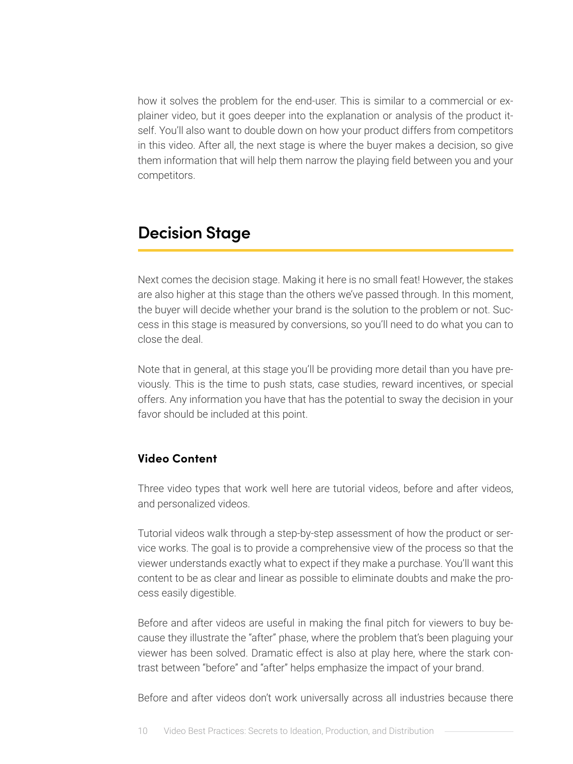how it solves the problem for the end-user. This is similar to a commercial or explainer video, but it goes deeper into the explanation or analysis of the product itself. You'll also want to double down on how your product differs from competitors in this video. After all, the next stage is where the buyer makes a decision, so give them information that will help them narrow the playing field between you and your competitors.

### **Decision Stage**

Next comes the decision stage. Making it here is no small feat! However, the stakes are also higher at this stage than the others we've passed through. In this moment, the buyer will decide whether your brand is the solution to the problem or not. Success in this stage is measured by conversions, so you'll need to do what you can to close the deal.

Note that in general, at this stage you'll be providing more detail than you have previously. This is the time to push stats, case studies, reward incentives, or special offers. Any information you have that has the potential to sway the decision in your favor should be included at this point.

#### **Video Content**

Three video types that work well here are tutorial videos, before and after videos, and personalized videos.

Tutorial videos walk through a step-by-step assessment of how the product or service works. The goal is to provide a comprehensive view of the process so that the viewer understands exactly what to expect if they make a purchase. You'll want this content to be as clear and linear as possible to eliminate doubts and make the process easily digestible.

Before and after videos are useful in making the final pitch for viewers to buy because they illustrate the "after" phase, where the problem that's been plaguing your viewer has been solved. Dramatic effect is also at play here, where the stark contrast between "before" and "after" helps emphasize the impact of your brand.

Before and after videos don't work universally across all industries because there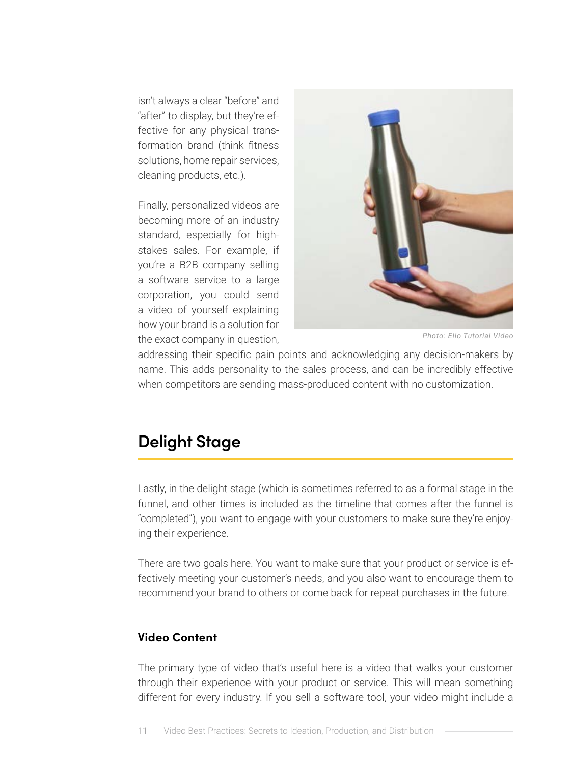isn't always a clear "before" and "after" to display, but they're effective for any physical transformation brand (think fitness solutions, home repair services, cleaning products, etc.).

Finally, personalized videos are becoming more of an industry standard, especially for highstakes sales. For example, if you're a B2B company selling a software service to a large corporation, you could send a video of yourself explaining how your brand is a solution for the exact company in question,



*Photo: Ello Tutorial Video*

addressing their specific pain points and acknowledging any decision-makers by name. This adds personality to the sales process, and can be incredibly effective when competitors are sending mass-produced content with no customization.

### **Delight Stage**

Lastly, in the delight stage (which is sometimes referred to as a formal stage in the funnel, and other times is included as the timeline that comes after the funnel is "completed"), you want to engage with your customers to make sure they're enjoying their experience.

There are two goals here. You want to make sure that your product or service is effectively meeting your customer's needs, and you also want to encourage them to recommend your brand to others or come back for repeat purchases in the future.

#### **Video Content**

The primary type of video that's useful here is a video that walks your customer through their experience with your product or service. This will mean something different for every industry. If you sell a software tool, your video might include a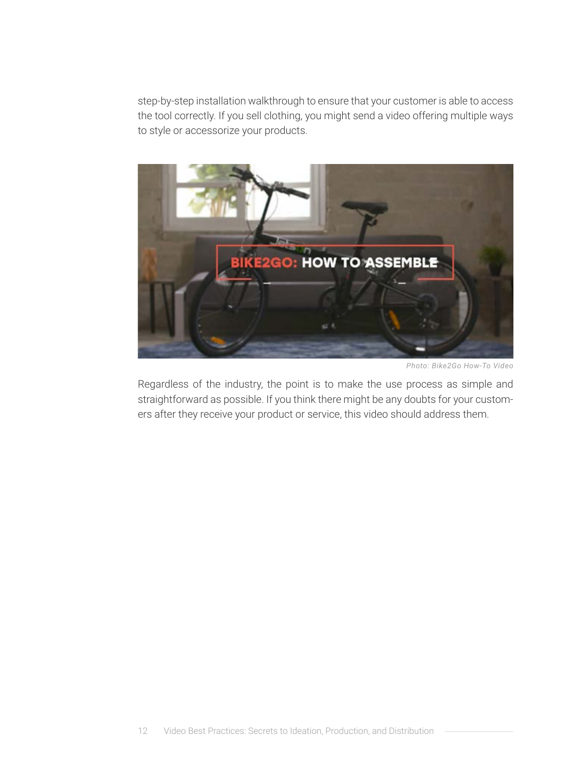step-by-step installation walkthrough to ensure that your customer is able to access the tool correctly. If you sell clothing, you might send a video offering multiple ways to style or accessorize your products.



*Photo: Bike2Go How-To Video*

Regardless of the industry, the point is to make the use process as simple and straightforward as possible. If you think there might be any doubts for your customers after they receive your product or service, this video should address them.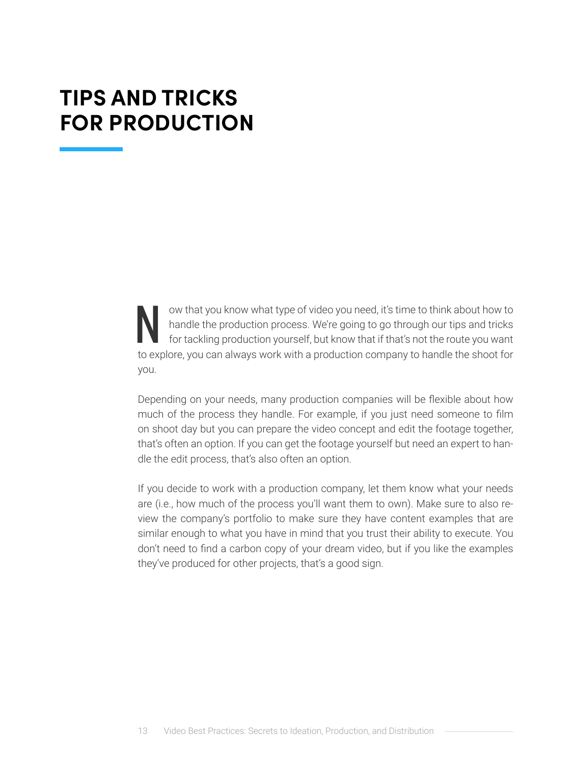# <span id="page-12-0"></span>**TIPS AND TRICKS FOR PRODUCTION**

N ow that you know what type of video you need, it's time to think about how to<br>handle the production process. We're going to go through our tips and tricks<br>for tackling production yourself, but know that if that's not the handle the production process. We're going to go through our tips and tricks for tackling production yourself, but know that if that's not the route you want to explore, you can always work with a production company to handle the shoot for you.

Depending on your needs, many production companies will be flexible about how much of the process they handle. For example, if you just need someone to film on shoot day but you can prepare the video concept and edit the footage together, that's often an option. If you can get the footage yourself but need an expert to handle the edit process, that's also often an option.

If you decide to work with a production company, let them know what your needs are (i.e., how much of the process you'll want them to own). Make sure to also review the company's portfolio to make sure they have content examples that are similar enough to what you have in mind that you trust their ability to execute. You don't need to find a carbon copy of your dream video, but if you like the examples they've produced for other projects, that's a good sign.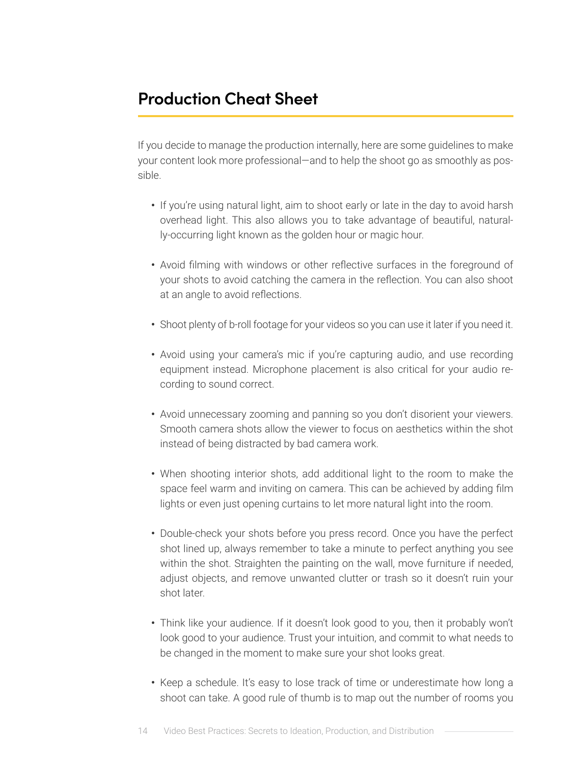### **Production Cheat Sheet**

If you decide to manage the production internally, here are some guidelines to make your content look more professional—and to help the shoot go as smoothly as possible.

- **•** If you're using natural light, aim to shoot early or late in the day to avoid harsh overhead light. This also allows you to take advantage of beautiful, naturally-occurring light known as the golden hour or magic hour.
- **•** Avoid filming with windows or other reflective surfaces in the foreground of your shots to avoid catching the camera in the reflection. You can also shoot at an angle to avoid reflections.
- **•** Shoot plenty of b-roll footage for your videos so you can use it later if you need it.
- **•** Avoid using your camera's mic if you're capturing audio, and use recording equipment instead. Microphone placement is also critical for your audio recording to sound correct.
- **•** Avoid unnecessary zooming and panning so you don't disorient your viewers. Smooth camera shots allow the viewer to focus on aesthetics within the shot instead of being distracted by bad camera work.
- **•** When shooting interior shots, add additional light to the room to make the space feel warm and inviting on camera. This can be achieved by adding film lights or even just opening curtains to let more natural light into the room.
- **•** Double-check your shots before you press record. Once you have the perfect shot lined up, always remember to take a minute to perfect anything you see within the shot. Straighten the painting on the wall, move furniture if needed, adjust objects, and remove unwanted clutter or trash so it doesn't ruin your shot later.
- **•** Think like your audience. If it doesn't look good to you, then it probably won't look good to your audience. Trust your intuition, and commit to what needs to be changed in the moment to make sure your shot looks great.
- **•** Keep a schedule. It's easy to lose track of time or underestimate how long a shoot can take. A good rule of thumb is to map out the number of rooms you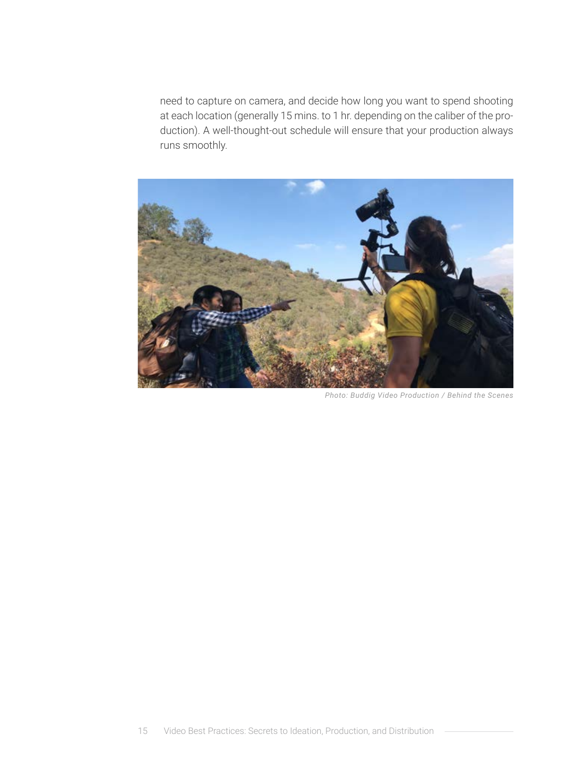need to capture on camera, and decide how long you want to spend shooting at each location (generally 15 mins. to 1 hr. depending on the caliber of the production). A well-thought-out schedule will ensure that your production always runs smoothly.



*Photo: Buddig Video Production / Behind the Scenes*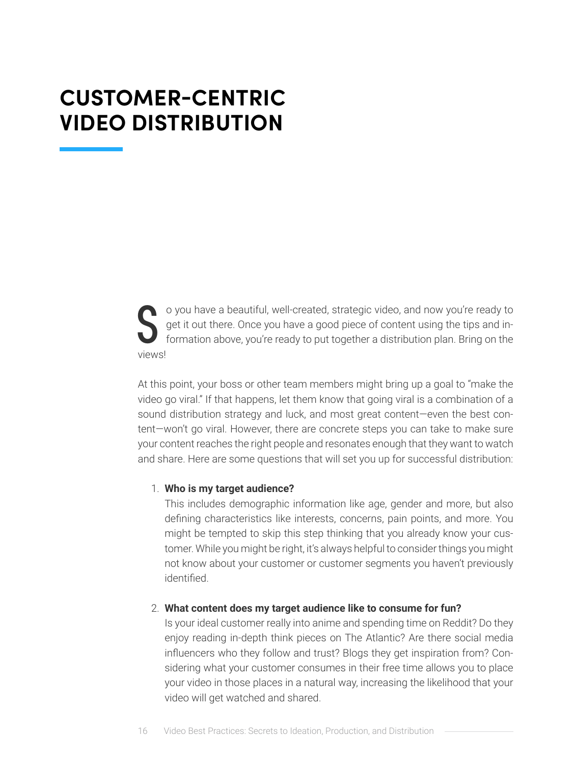# <span id="page-15-0"></span>**CUSTOMER-CENTRIC VIDEO DISTRIBUTION**

S o you have a beautiful, well-created, strategic video, and now you're ready to get it out there. Once you have a good piece of content using the tips and information above, you're ready to put together a distribution pla get it out there. Once you have a good piece of content using the tips and information above, you're ready to put together a distribution plan. Bring on the views!

At this point, your boss or other team members might bring up a goal to "make the video go viral." If that happens, let them know that going viral is a combination of a sound distribution strategy and luck, and most great content—even the best content—won't go viral. However, there are concrete steps you can take to make sure your content reaches the right people and resonates enough that they want to watch and share. Here are some questions that will set you up for successful distribution:

#### 1. **Who is my target audience?**

This includes demographic information like age, gender and more, but also defining characteristics like interests, concerns, pain points, and more. You might be tempted to skip this step thinking that you already know your customer. While you might be right, it's always helpful to consider things you might not know about your customer or customer segments you haven't previously identified.

#### 2. **What content does my target audience like to consume for fun?**

Is your ideal customer really into anime and spending time on Reddit? Do they enjoy reading in-depth think pieces on The Atlantic? Are there social media influencers who they follow and trust? Blogs they get inspiration from? Considering what your customer consumes in their free time allows you to place your video in those places in a natural way, increasing the likelihood that your video will get watched and shared.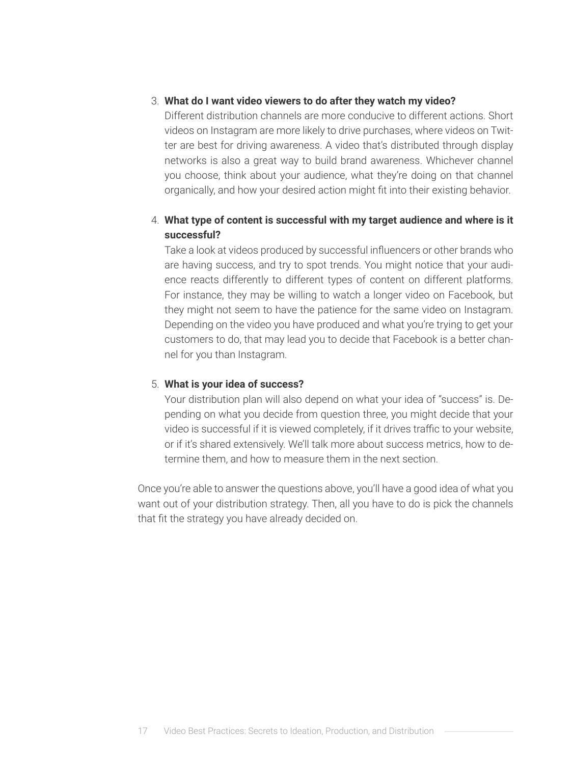#### 3. **What do I want video viewers to do after they watch my video?**

Different distribution channels are more conducive to different actions. Short videos on Instagram are more likely to drive purchases, where videos on Twitter are best for driving awareness. A video that's distributed through display networks is also a great way to build brand awareness. Whichever channel you choose, think about your audience, what they're doing on that channel organically, and how your desired action might fit into their existing behavior.

#### 4. **What type of content is successful with my target audience and where is it successful?**

Take a look at videos produced by successful influencers or other brands who are having success, and try to spot trends. You might notice that your audience reacts differently to different types of content on different platforms. For instance, they may be willing to watch a longer video on Facebook, but they might not seem to have the patience for the same video on Instagram. Depending on the video you have produced and what you're trying to get your customers to do, that may lead you to decide that Facebook is a better channel for you than Instagram.

#### 5. **What is your idea of success?**

Your distribution plan will also depend on what your idea of "success" is. Depending on what you decide from question three, you might decide that your video is successful if it is viewed completely, if it drives traffic to your website, or if it's shared extensively. We'll talk more about success metrics, how to determine them, and how to measure them in the next section.

Once you're able to answer the questions above, you'll have a good idea of what you want out of your distribution strategy. Then, all you have to do is pick the channels that fit the strategy you have already decided on.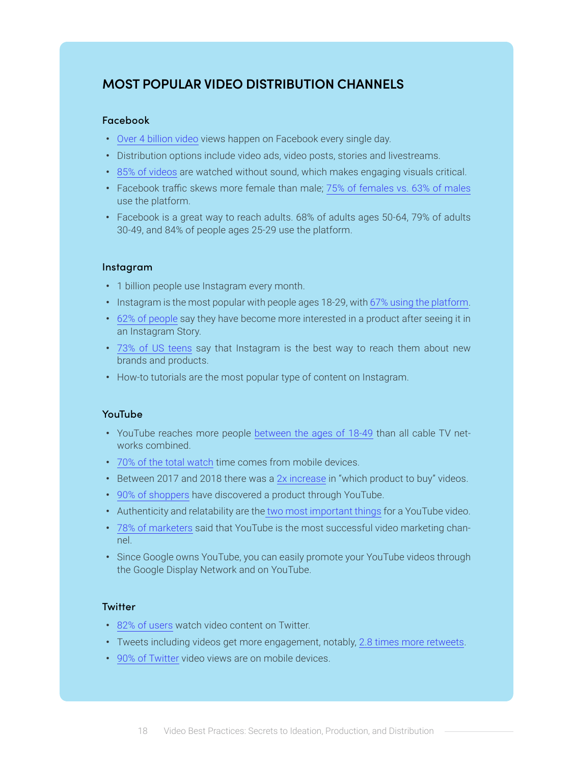### **MOST POPULAR VIDEO DISTRIBUTION CHANNELS**

#### Facebook

- **•** [Over 4 billion video](https://99firms.com/blog/facebook-video-statistics/#gref) views happen on Facebook every single day.
- **•** Distribution options include video ads, video posts, stories and livestreams.
- **•** [85% of videos](https://sproutsocial.com/insights/facebook-stats-for-marketers/) are watched without sound, which makes engaging visuals critical.
- **•** Facebook traffic skews more female than male; [75% of females vs. 63% of males](https://blog.hootsuite.com/facebook-statistics/) use the platform.
- **•** Facebook is a great way to reach adults. 68% of adults ages 50-64, 79% of adults 30-49, and 84% of people ages 25-29 use the platform.

#### Instagram

- **•** 1 billion people use Instagram every month.
- **•** Instagram is the most popular with people ages 18-29, with [67% using the platform.](https://blog.hootsuite.com/instagram-statistics/)
- **•** [62% of people](https://blog.hootsuite.com/instagram-statistics/) say they have become more interested in a product after seeing it in an Instagram Story.
- **•** [73% of US teens](https://blog.hootsuite.com/instagram-statistics/) say that Instagram is the best way to reach them about new brands and products.
- **•** How-to tutorials are the most popular type of content on Instagram.

#### YouTube

- **•** YouTube reaches more people [between the ages of 18-49](https://sproutsocial.com/insights/youtube-stats/) than all cable TV networks combined.
- **•** [70% of the total watch](https://sproutsocial.com/insights/youtube-stats/) time comes from mobile devices.
- **•** Between 2017 and 2018 there was a [2x increase](https://sproutsocial.com/insights/youtube-stats/) in "which product to buy" videos.
- **•** [90% of shoppers](https://sproutsocial.com/insights/youtube-stats/) have discovered a product through YouTube.
- **•** Authenticity and relatability are th[e two most important things](https://sproutsocial.com/insights/youtube-stats/) for a YouTube video.
- **•** [78% of marketers](https://sproutsocial.com/insights/youtube-stats/) said that YouTube is the most successful video marketing channel.
- **•** Since Google owns YouTube, you can easily promote your YouTube videos through the Google Display Network and on YouTube.

#### **Twitter**

- **•** [82% of users](https://blog.hootsuite.com/twitter-marketing/) watch video content on Twitter.
- **•** Tweets including videos get more engagement, notably, [2.8 times more retweets](https://sproutsocial.com/insights/twitter-video/).
- **•** [90% of Twitter](https://sproutsocial.com/insights/twitter-video/) video views are on mobile devices.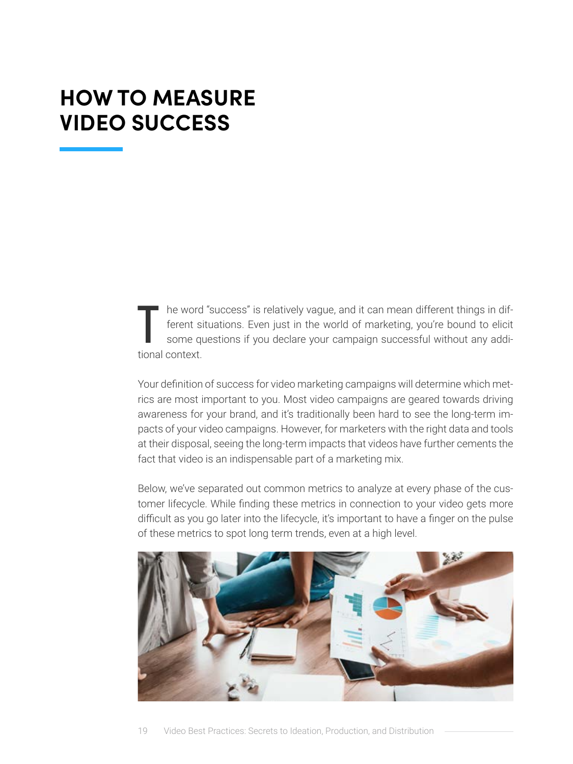# <span id="page-18-0"></span>**HOW TO MEASURE VIDEO SUCCESS**

 $\begin{bmatrix} \phantom{-} \\ \phantom{-} \\ \phantom{-} \\ \phantom{-} \\ \phantom{-} \\ \phantom{-} \\ \phantom{-} \\ \phantom{-} \\ \phantom{-} \\ \phantom{-} \\ \phantom{-} \\ \phantom{-} \\ \phantom{-} \\ \phantom{-} \\ \phantom{-} \\ \phantom{-} \\ \phantom{-} \\ \phantom{-} \\ \phantom{-} \\ \phantom{-} \\ \phantom{-} \\ \phantom{-} \\ \phantom{-} \\ \phantom{-} \\ \phantom{-} \\ \phantom{-} \\ \phantom{-} \\ \phantom{-} \\ \phantom{-} \\ \phantom{-} \\ \phantom{-} \\ \phantom{-} \\ \phantom{-} \\ \phantom{-} \\ \phantom{-} \\ \phantom{$ he word "success" is relatively vague, and it can mean different things in different situations. Even just in the world of marketing, you're bound to elicit some questions if you declare your campaign successful without any additional context.

Your definition of success for video marketing campaigns will determine which metrics are most important to you. Most video campaigns are geared towards driving awareness for your brand, and it's traditionally been hard to see the long-term impacts of your video campaigns. However, for marketers with the right data and tools at their disposal, seeing the long-term impacts that videos have further cements the fact that video is an indispensable part of a marketing mix.

Below, we've separated out common metrics to analyze at every phase of the customer lifecycle. While finding these metrics in connection to your video gets more difficult as you go later into the lifecycle, it's important to have a finger on the pulse of these metrics to spot long term trends, even at a high level.

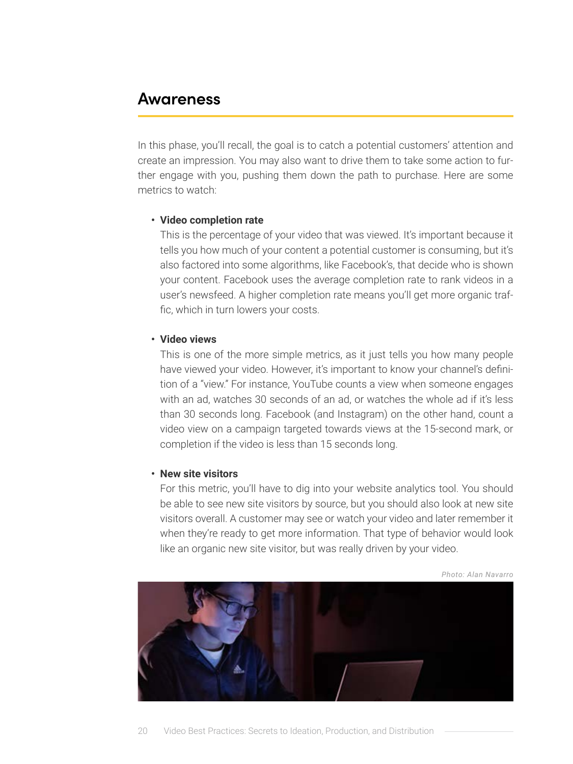### **Awareness**

In this phase, you'll recall, the goal is to catch a potential customers' attention and create an impression. You may also want to drive them to take some action to further engage with you, pushing them down the path to purchase. Here are some metrics to watch:

#### **• Video completion rate**

This is the percentage of your video that was viewed. It's important because it tells you how much of your content a potential customer is consuming, but it's also factored into some algorithms, like Facebook's, that decide who is shown your content. Facebook uses the average completion rate to rank videos in a user's newsfeed. A higher completion rate means you'll get more organic traffic, which in turn lowers your costs.

#### **• Video views**

This is one of the more simple metrics, as it just tells you how many people have viewed your video. However, it's important to know your channel's definition of a "view." For instance, YouTube counts a view when someone engages with an ad, watches 30 seconds of an ad, or watches the whole ad if it's less than 30 seconds long. Facebook (and Instagram) on the other hand, count a video view on a campaign targeted towards views at the 15-second mark, or completion if the video is less than 15 seconds long.

#### **• New site visitors**

For this metric, you'll have to dig into your website analytics tool. You should be able to see new site visitors by source, but you should also look at new site visitors overall. A customer may see or watch your video and later remember it when they're ready to get more information. That type of behavior would look like an organic new site visitor, but was really driven by your video.



*Photo: Alan Navarro*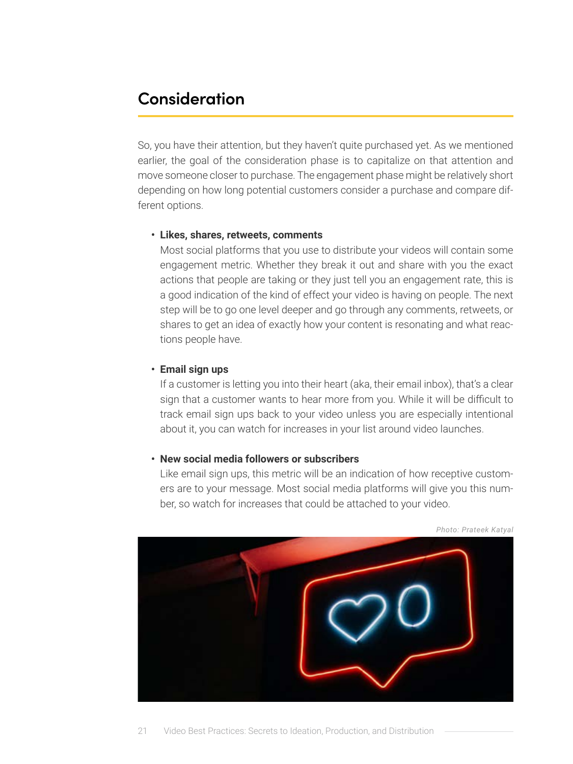### **Consideration**

So, you have their attention, but they haven't quite purchased yet. As we mentioned earlier, the goal of the consideration phase is to capitalize on that attention and move someone closer to purchase. The engagement phase might be relatively short depending on how long potential customers consider a purchase and compare different options.

#### **• Likes, shares, retweets, comments**

Most social platforms that you use to distribute your videos will contain some engagement metric. Whether they break it out and share with you the exact actions that people are taking or they just tell you an engagement rate, this is a good indication of the kind of effect your video is having on people. The next step will be to go one level deeper and go through any comments, retweets, or shares to get an idea of exactly how your content is resonating and what reactions people have.

#### **• Email sign ups**

If a customer is letting you into their heart (aka, their email inbox), that's a clear sign that a customer wants to hear more from you. While it will be difficult to track email sign ups back to your video unless you are especially intentional about it, you can watch for increases in your list around video launches.

#### **• New social media followers or subscribers**

Like email sign ups, this metric will be an indication of how receptive customers are to your message. Most social media platforms will give you this number, so watch for increases that could be attached to your video.



*Photo: Prateek Katyal*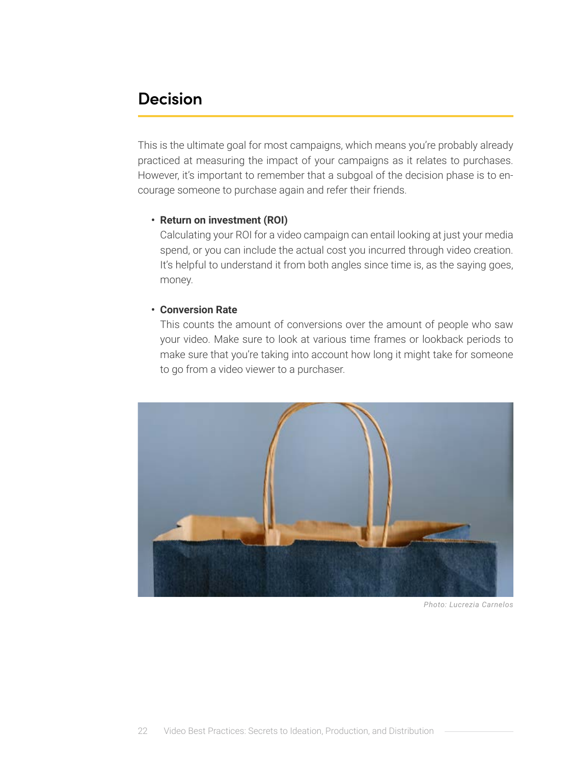### **Decision**

This is the ultimate goal for most campaigns, which means you're probably already practiced at measuring the impact of your campaigns as it relates to purchases. However, it's important to remember that a subgoal of the decision phase is to encourage someone to purchase again and refer their friends.

#### **• Return on investment (ROI)**

Calculating your ROI for a video campaign can entail looking at just your media spend, or you can include the actual cost you incurred through video creation. It's helpful to understand it from both angles since time is, as the saying goes, money.

#### **• Conversion Rate**

This counts the amount of conversions over the amount of people who saw your video. Make sure to look at various time frames or lookback periods to make sure that you're taking into account how long it might take for someone to go from a video viewer to a purchaser.



*Photo: Lucrezia Carnelos*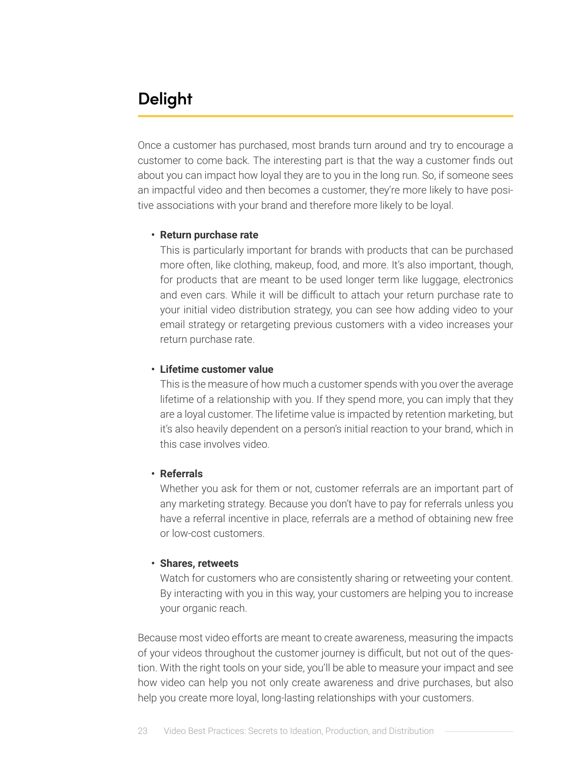## **Delight**

Once a customer has purchased, most brands turn around and try to encourage a customer to come back. The interesting part is that the way a customer finds out about you can impact how loyal they are to you in the long run. So, if someone sees an impactful video and then becomes a customer, they're more likely to have positive associations with your brand and therefore more likely to be loyal.

#### **• Return purchase rate**

This is particularly important for brands with products that can be purchased more often, like clothing, makeup, food, and more. It's also important, though, for products that are meant to be used longer term like luggage, electronics and even cars. While it will be difficult to attach your return purchase rate to your initial video distribution strategy, you can see how adding video to your email strategy or retargeting previous customers with a video increases your return purchase rate.

#### **• Lifetime customer value**

This is the measure of how much a customer spends with you over the average lifetime of a relationship with you. If they spend more, you can imply that they are a loyal customer. The lifetime value is impacted by retention marketing, but it's also heavily dependent on a person's initial reaction to your brand, which in this case involves video.

#### **• Referrals**

Whether you ask for them or not, customer referrals are an important part of any marketing strategy. Because you don't have to pay for referrals unless you have a referral incentive in place, referrals are a method of obtaining new free or low-cost customers.

#### **• Shares, retweets**

Watch for customers who are consistently sharing or retweeting your content. By interacting with you in this way, your customers are helping you to increase your organic reach.

Because most video efforts are meant to create awareness, measuring the impacts of your videos throughout the customer journey is difficult, but not out of the question. With the right tools on your side, you'll be able to measure your impact and see how video can help you not only create awareness and drive purchases, but also help you create more loyal, long-lasting relationships with your customers.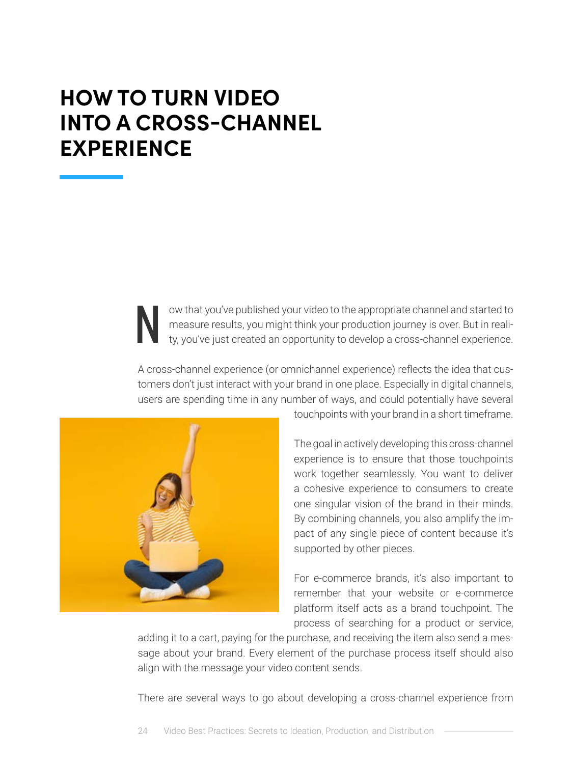# <span id="page-23-0"></span>**HOW TO TURN VIDEO INTO A CROSS-CHANNEL EXPERIENCE**

ow that you've published your video to the appropriate channel and started to measure results, you might think your production journey is over. But in reality, you've just created an opportunity to develop a cross-channel experience.

A cross-channel experience (or omnichannel experience) reflects the idea that customers don't just interact with your brand in one place. Especially in digital channels, users are spending time in any number of ways, and could potentially have several



touchpoints with your brand in a short timeframe.

The goal in actively developing this cross-channel experience is to ensure that those touchpoints work together seamlessly. You want to deliver a cohesive experience to consumers to create one singular vision of the brand in their minds. By combining channels, you also amplify the impact of any single piece of content because it's supported by other pieces.

For e-commerce brands, it's also important to remember that your website or e-commerce platform itself acts as a brand touchpoint. The process of searching for a product or service,

adding it to a cart, paying for the purchase, and receiving the item also send a message about your brand. Every element of the purchase process itself should also align with the message your video content sends.

There are several ways to go about developing a cross-channel experience from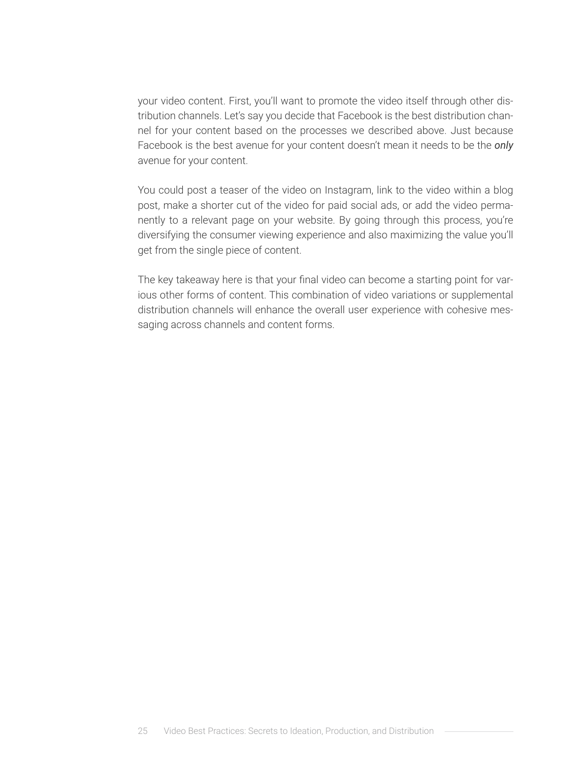your video content. First, you'll want to promote the video itself through other distribution channels. Let's say you decide that Facebook is the best distribution channel for your content based on the processes we described above. Just because Facebook is the best avenue for your content doesn't mean it needs to be the *only* avenue for your content.

You could post a teaser of the video on Instagram, link to the video within a blog post, make a shorter cut of the video for paid social ads, or add the video permanently to a relevant page on your website. By going through this process, you're diversifying the consumer viewing experience and also maximizing the value you'll get from the single piece of content.

The key takeaway here is that your final video can become a starting point for various other forms of content. This combination of video variations or supplemental distribution channels will enhance the overall user experience with cohesive messaging across channels and content forms.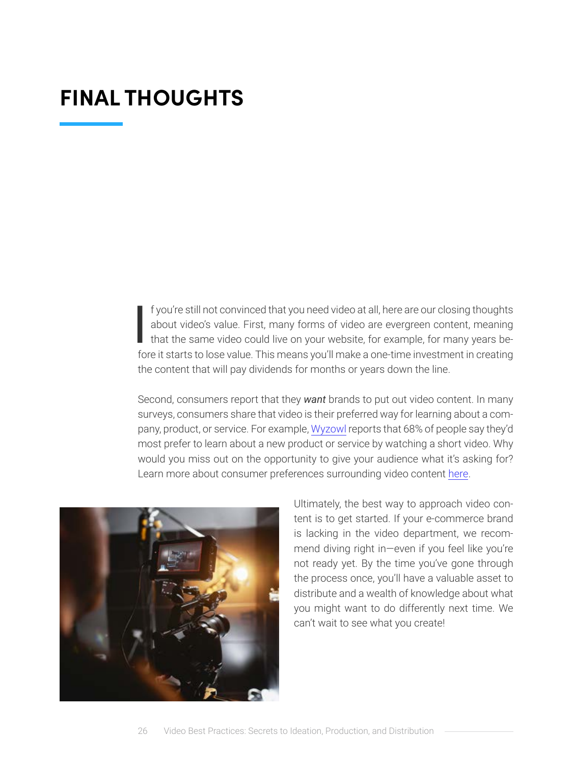# <span id="page-25-0"></span>**FINAL THOUGHTS**

 $\overline{\mathbf{I}}$ f you're still not convinced that you need video at all, here are our closing thoughts about video's value. First, many forms of video are evergreen content, meaning that the same video could live on your website, for example, for many years before it starts to lose value. This means you'll make a one-time investment in creating the content that will pay dividends for months or years down the line.

Second, consumers report that they *want* brands to put out video content. In many surveys, consumers share that video is their preferred way for learning about a company, product, or service. For example, [Wyzowl](https://www.wyzowl.com/video-marketing-statistics-2019/) reports that 68% of people say they'd most prefer to learn about a new product or service by watching a short video. Why would you miss out on the opportunity to give your audience what it's asking for? Learn more about consumer preferences surrounding video content [here.](https://www.lemonlight.com/blog/67-video-marketing-stats-you-need-to-know-for-2020/)



Ultimately, the best way to approach video content is to get started. If your e-commerce brand is lacking in the video department, we recommend diving right in—even if you feel like you're not ready yet. By the time you've gone through the process once, you'll have a valuable asset to distribute and a wealth of knowledge about what you might want to do differently next time. We can't wait to see what you create!